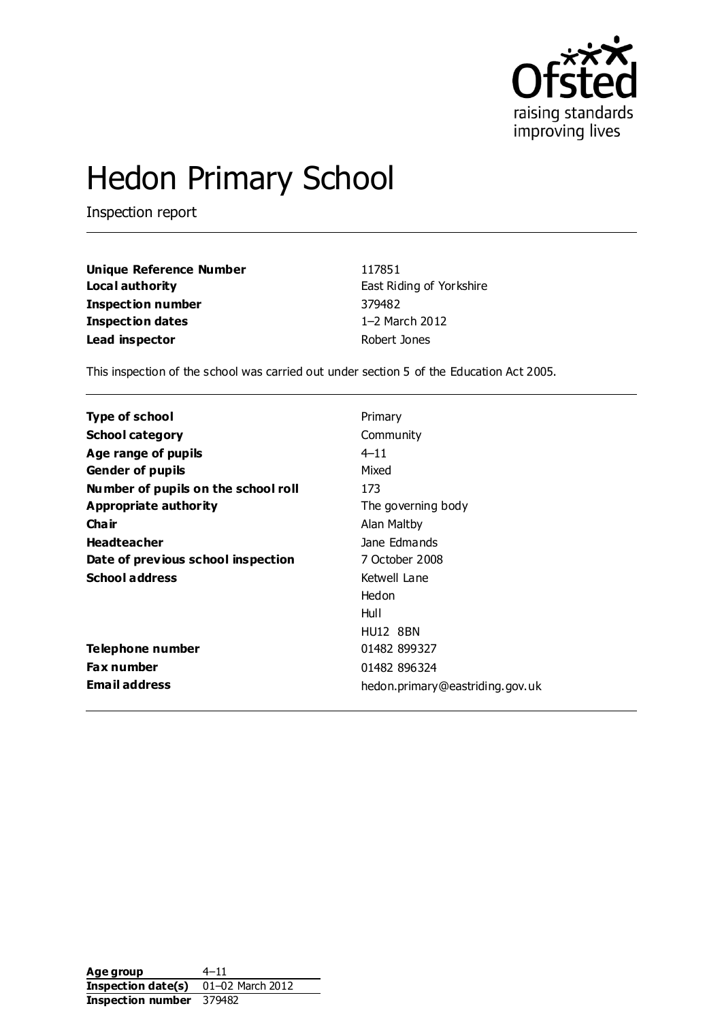

## Hedon Primary School

Inspection report

| Unique Reference Number | 117851                   |
|-------------------------|--------------------------|
| Local authority         | East Riding of Yorkshire |
| Inspection number       | 379482                   |
| Inspection dates        | 1-2 March 2012           |
| Lead inspector          | Robert Jones             |

This inspection of the school was carried out under section 5 of the Education Act 2005.

| <b>Type of school</b>               | Primary                         |
|-------------------------------------|---------------------------------|
| <b>School category</b>              | Community                       |
| Age range of pupils                 | $4 - 11$                        |
| <b>Gender of pupils</b>             | Mixed                           |
| Number of pupils on the school roll | 173                             |
| Appropriate authority               | The governing body              |
| Cha ir                              | Alan Maltby                     |
| <b>Headteacher</b>                  | Jane Edmands                    |
| Date of previous school inspection  | 7 October 2008                  |
| <b>School address</b>               | Ketwell Lane                    |
|                                     | Hedon                           |
|                                     | Hull                            |
|                                     | <b>HU12 8BN</b>                 |
| Telephone number                    | 01482 899327                    |
| Fax number                          | 01482 896324                    |
| <b>Email address</b>                | hedon.primary@eastriding.gov.uk |

Age group 4–11 **Inspection date(s)** 01–02 March 2012 **Inspection number** 379482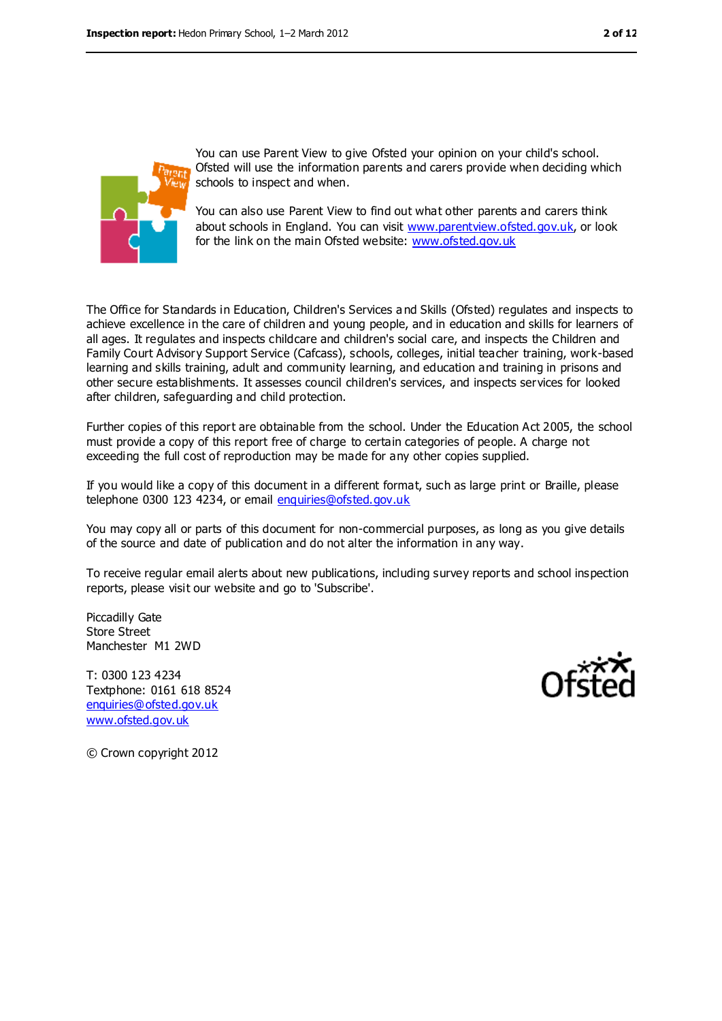

You can use Parent View to give Ofsted your opinion on your child's school. Ofsted will use the information parents and carers provide when deciding which schools to inspect and when.

You can also use Parent View to find out what other parents and carers think about schools in England. You can visit [www.parentview.ofsted.gov.uk,](https://webmail.cfbt.com/mail/fravey.nsf/0/D8451B4A89116CECDC254974E308F1D2/$File/www.parentview.ofsted.gov.uk) or look for the link on the main Ofsted website: [www.ofsted.gov.uk](https://webmail.cfbt.com/mail/fravey.nsf/0/D8451B4A89116CECDC254974E308F1D2/$File/www.ofsted.gov.uk)

The Office for Standards in Education, Children's Services a nd Skills (Ofsted) regulates and inspects to achieve excellence in the care of children and young people, and in education and skills for learners of all ages. It regulates and inspects childcare and children's social care, and inspects the Children and Family Court Advisory Support Service (Cafcass), schools, colleges, initial teacher training, work-based learning and skills training, adult and community learning, and education and training in prisons and other secure establishments. It assesses council children's services, and inspects services for looked after children, safeguarding and child protection.

Further copies of this report are obtainable from the school. Under the Education Act 2005, the school must provide a copy of this report free of charge to certain categories of people. A charge not exceeding the full cost of reproduction may be made for any other copies supplied.

If you would like a copy of this document in a different format, such as large print or Braille, please telephone 0300 123 4234, or email [enquiries@ofsted.gov.uk](mailto:enquiries@ofsted.gov.uk)

You may copy all or parts of this document for non-commercial purposes, as long as you give details of the source and date of publication and do not alter the information in any way.

To receive regular email alerts about new publications, including survey reports and school inspection reports, please visit our website and go to 'Subscribe'.

Piccadilly Gate Store Street Manchester M1 2WD

T: 0300 123 4234 Textphone: 0161 618 8524 [enquiries@ofsted.gov.uk](mailto:enquiries@ofsted.gov.uk) [www.ofsted.gov.uk](http://www.ofsted.gov.uk)



© Crown copyright 2012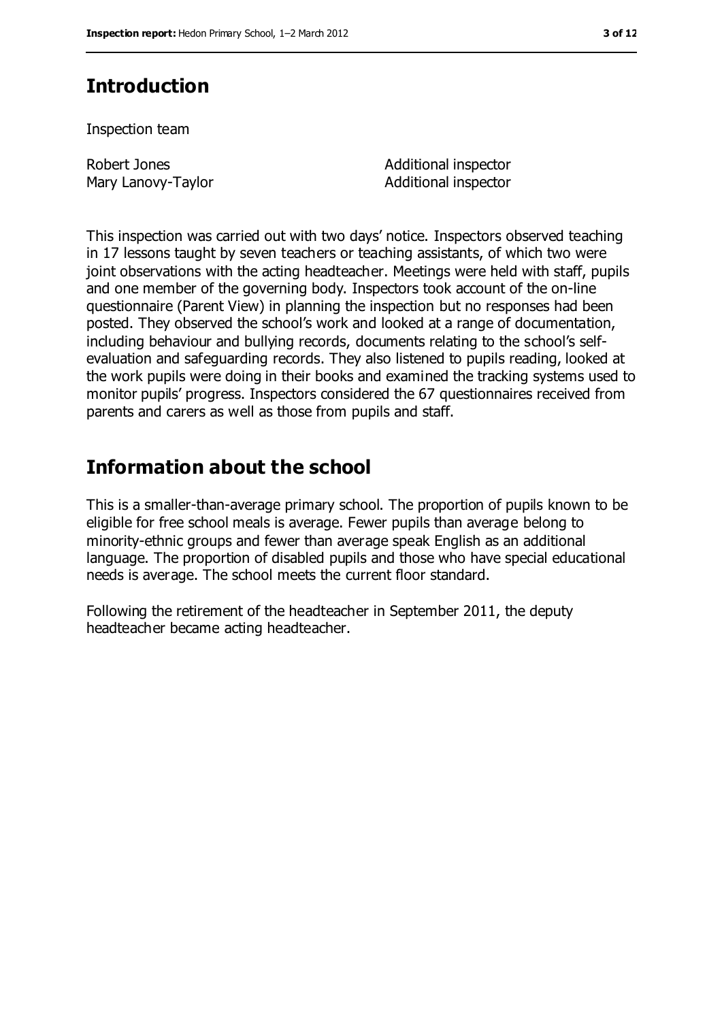## **Introduction**

Inspection team

Robert Jones Mary Lanovy-Taylor Additional inspector Additional inspector

This inspection was carried out with two days' notice. Inspectors observed teaching in 17 lessons taught by seven teachers or teaching assistants, of which two were joint observations with the acting headteacher. Meetings were held with staff, pupils and one member of the governing body. Inspectors took account of the on-line questionnaire (Parent View) in planning the inspection but no responses had been posted. They observed the school's work and looked at a range of documentation, including behaviour and bullying records, documents relating to the school's selfevaluation and safeguarding records. They also listened to pupils reading, looked at the work pupils were doing in their books and examined the tracking systems used to monitor pupils' progress. Inspectors considered the 67 questionnaires received from parents and carers as well as those from pupils and staff.

## **Information about the school**

This is a smaller-than-average primary school. The proportion of pupils known to be eligible for free school meals is average. Fewer pupils than average belong to minority-ethnic groups and fewer than average speak English as an additional language. The proportion of disabled pupils and those who have special educational needs is average. The school meets the current floor standard.

Following the retirement of the headteacher in September 2011, the deputy headteacher became acting headteacher.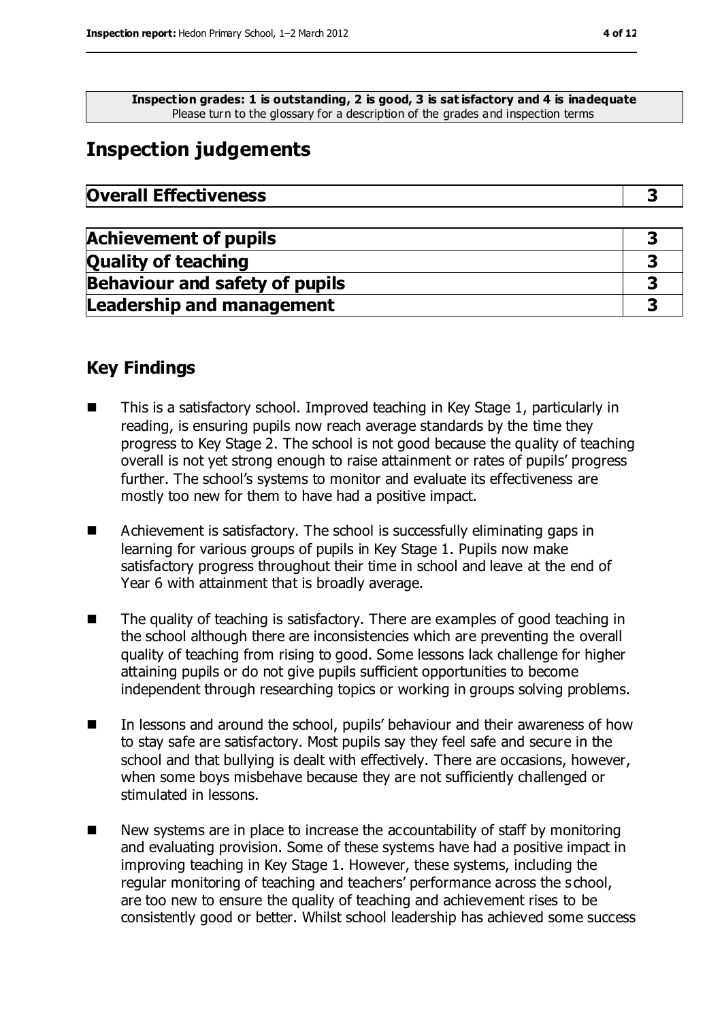**Inspection grades: 1 is outstanding, 2 is good, 3 is sat isfactory and 4 is inadequate** Please turn to the glossary for a description of the grades and inspection terms

## **Inspection judgements**

| <b>Overall Effectiveness</b> |  |
|------------------------------|--|
|------------------------------|--|

| <b>Achievement of pupils</b>          |  |
|---------------------------------------|--|
| <b>Quality of teaching</b>            |  |
| <b>Behaviour and safety of pupils</b> |  |
| <b>Leadership and management</b>      |  |

#### **Key Findings**

- This is a satisfactory school. Improved teaching in Key Stage 1, particularly in reading, is ensuring pupils now reach average standards by the time they progress to Key Stage 2. The school is not good because the quality of teaching overall is not yet strong enough to raise attainment or rates of pupils' progress further. The school's systems to monitor and evaluate its effectiveness are mostly too new for them to have had a positive impact.
- Achievement is satisfactory. The school is successfully eliminating gaps in learning for various groups of pupils in Key Stage 1. Pupils now make satisfactory progress throughout their time in school and leave at the end of Year 6 with attainment that is broadly average.
- The quality of teaching is satisfactory. There are examples of good teaching in the school although there are inconsistencies which are preventing the overall quality of teaching from rising to good. Some lessons lack challenge for higher attaining pupils or do not give pupils sufficient opportunities to become independent through researching topics or working in groups solving problems.
- In lessons and around the school, pupils' behaviour and their awareness of how to stay safe are satisfactory. Most pupils say they feel safe and secure in the school and that bullying is dealt with effectively. There are occasions, however, when some boys misbehave because they are not sufficiently challenged or stimulated in lessons.
- $\blacksquare$  New systems are in place to increase the accountability of staff by monitoring and evaluating provision. Some of these systems have had a positive impact in improving teaching in Key Stage 1. However, these systems, including the regular monitoring of teaching and teachers' performance across the s chool, are too new to ensure the quality of teaching and achievement rises to be consistently good or better. Whilst school leadership has achieved some success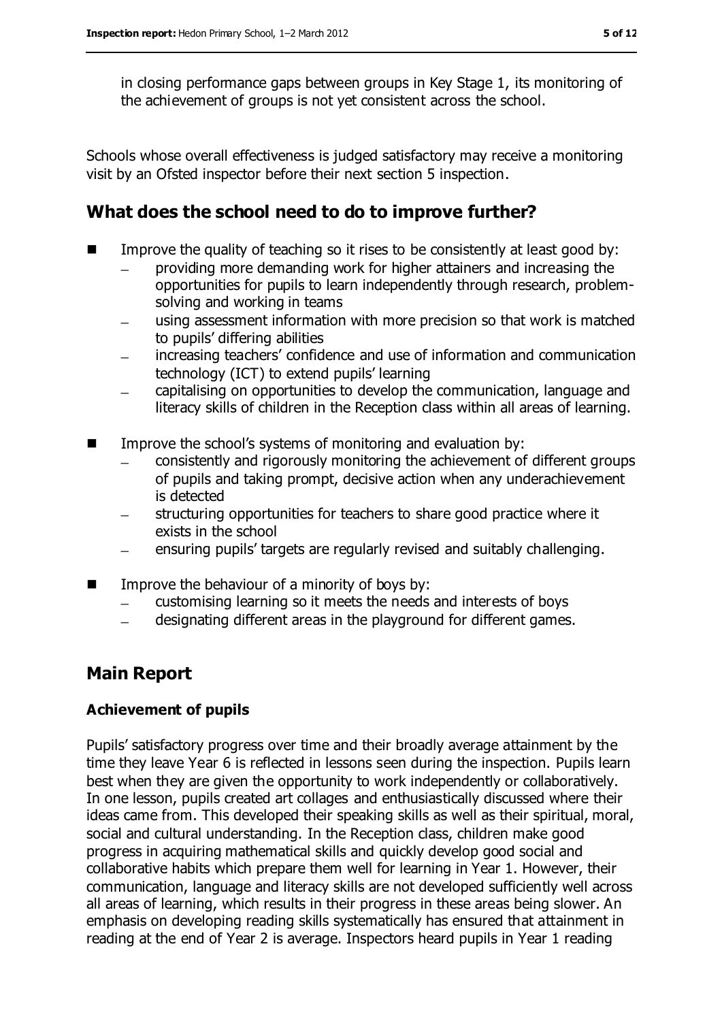in closing performance gaps between groups in Key Stage 1, its monitoring of the achievement of groups is not yet consistent across the school.

Schools whose overall effectiveness is judged satisfactory may receive a monitoring visit by an Ofsted inspector before their next section 5 inspection.

## **What does the school need to do to improve further?**

- Improve the quality of teaching so it rises to be consistently at least good by:
	- providing more demanding work for higher attainers and increasing the  $\equiv$ opportunities for pupils to learn independently through research, problemsolving and working in teams
	- using assessment information with more precision so that work is matched to pupils' differing abilities
	- increasing teachers' confidence and use of information and communication technology (ICT) to extend pupils' learning
	- capitalising on opportunities to develop the communication, language and literacy skills of children in the Reception class within all areas of learning.
- **IMPROPERENAL Improve the school's systems of monitoring and evaluation by:** 
	- consistently and rigorously monitoring the achievement of different groups of pupils and taking prompt, decisive action when any underachievement is detected
	- structuring opportunities for teachers to share good practice where it exists in the school
	- ensuring pupils' targets are regularly revised and suitably challenging.  $\equiv$
- $\blacksquare$  Improve the behaviour of a minority of boys by:
	- customising learning so it meets the needs and interests of boys
	- designating different areas in the playground for different games.  $\equiv$

### **Main Report**

#### **Achievement of pupils**

Pupils' satisfactory progress over time and their broadly average attainment by the time they leave Year 6 is reflected in lessons seen during the inspection. Pupils learn best when they are given the opportunity to work independently or collaboratively. In one lesson, pupils created art collages and enthusiastically discussed where their ideas came from. This developed their speaking skills as well as their spiritual, moral, social and cultural understanding. In the Reception class, children make good progress in acquiring mathematical skills and quickly develop good social and collaborative habits which prepare them well for learning in Year 1. However, their communication, language and literacy skills are not developed sufficiently well across all areas of learning, which results in their progress in these areas being slower. An emphasis on developing reading skills systematically has ensured that attainment in reading at the end of Year 2 is average. Inspectors heard pupils in Year 1 reading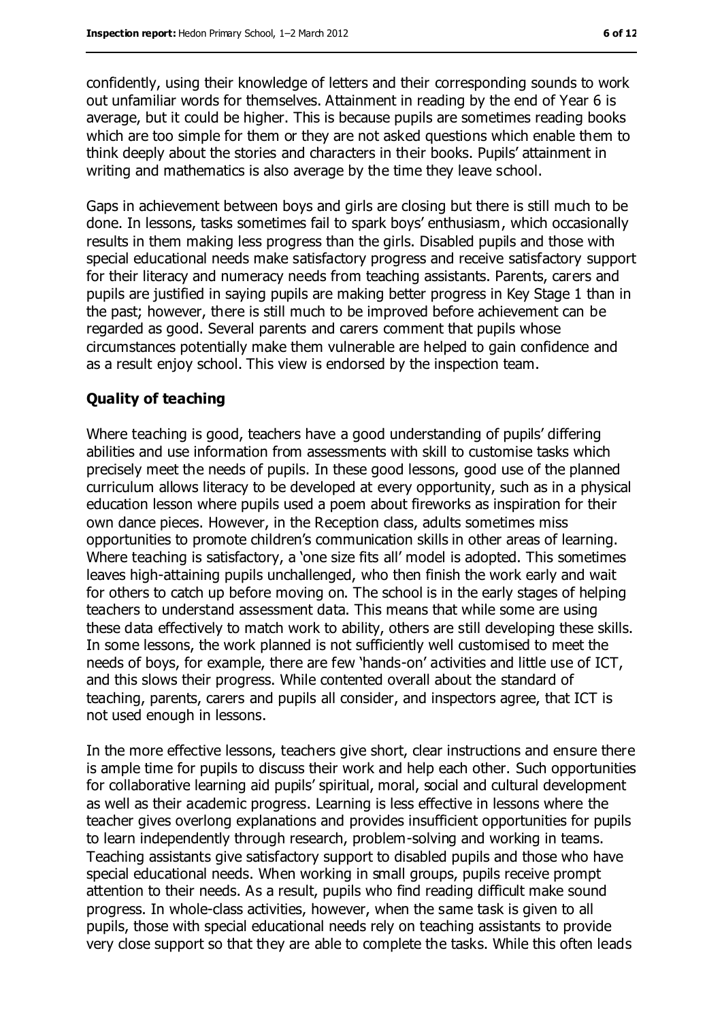confidently, using their knowledge of letters and their corresponding sounds to work out unfamiliar words for themselves. Attainment in reading by the end of Year 6 is average, but it could be higher. This is because pupils are sometimes reading books which are too simple for them or they are not asked questions which enable them to think deeply about the stories and characters in their books. Pupils' attainment in writing and mathematics is also average by the time they leave school.

Gaps in achievement between boys and girls are closing but there is still much to be done. In lessons, tasks sometimes fail to spark boys' enthusiasm, which occasionally results in them making less progress than the girls. Disabled pupils and those with special educational needs make satisfactory progress and receive satisfactory support for their literacy and numeracy needs from teaching assistants. Parents, carers and pupils are justified in saying pupils are making better progress in Key Stage 1 than in the past; however, there is still much to be improved before achievement can be regarded as good. Several parents and carers comment that pupils whose circumstances potentially make them vulnerable are helped to gain confidence and as a result enjoy school. This view is endorsed by the inspection team.

#### **Quality of teaching**

Where teaching is good, teachers have a good understanding of pupils' differing abilities and use information from assessments with skill to customise tasks which precisely meet the needs of pupils. In these good lessons, good use of the planned curriculum allows literacy to be developed at every opportunity, such as in a physical education lesson where pupils used a poem about fireworks as inspiration for their own dance pieces. However, in the Reception class, adults sometimes miss opportunities to promote children's communication skills in other areas of learning. Where teaching is satisfactory, a 'one size fits all' model is adopted. This sometimes leaves high-attaining pupils unchallenged, who then finish the work early and wait for others to catch up before moving on. The school is in the early stages of helping teachers to understand assessment data. This means that while some are using these data effectively to match work to ability, others are still developing these skills. In some lessons, the work planned is not sufficiently well customised to meet the needs of boys, for example, there are few 'hands-on' activities and little use of ICT, and this slows their progress. While contented overall about the standard of teaching, parents, carers and pupils all consider, and inspectors agree, that ICT is not used enough in lessons.

In the more effective lessons, teachers give short, clear instructions and ensure there is ample time for pupils to discuss their work and help each other. Such opportunities for collaborative learning aid pupils' spiritual, moral, social and cultural development as well as their academic progress. Learning is less effective in lessons where the teacher gives overlong explanations and provides insufficient opportunities for pupils to learn independently through research, problem-solving and working in teams. Teaching assistants give satisfactory support to disabled pupils and those who have special educational needs. When working in small groups, pupils receive prompt attention to their needs. As a result, pupils who find reading difficult make sound progress. In whole-class activities, however, when the same task is given to all pupils, those with special educational needs rely on teaching assistants to provide very close support so that they are able to complete the tasks. While this often leads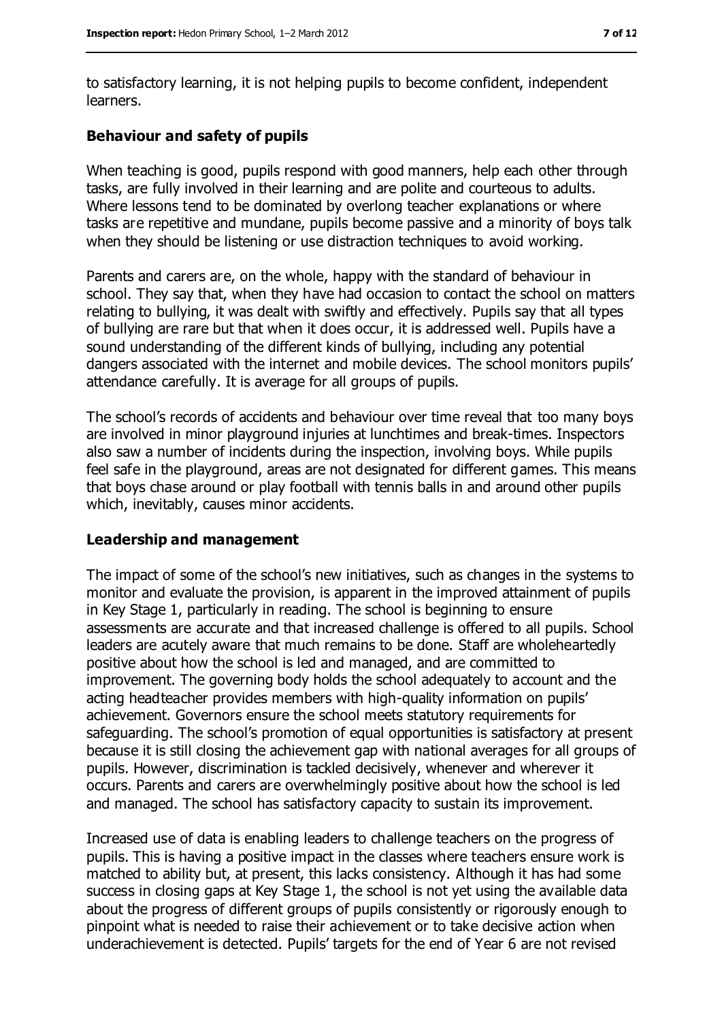to satisfactory learning, it is not helping pupils to become confident, independent learners.

#### **Behaviour and safety of pupils**

When teaching is good, pupils respond with good manners, help each other through tasks, are fully involved in their learning and are polite and courteous to adults. Where lessons tend to be dominated by overlong teacher explanations or where tasks are repetitive and mundane, pupils become passive and a minority of boys talk when they should be listening or use distraction techniques to avoid working.

Parents and carers are, on the whole, happy with the standard of behaviour in school. They say that, when they have had occasion to contact the school on matters relating to bullying, it was dealt with swiftly and effectively. Pupils say that all types of bullying are rare but that when it does occur, it is addressed well. Pupils have a sound understanding of the different kinds of bullying, including any potential dangers associated with the internet and mobile devices. The school monitors pupils' attendance carefully. It is average for all groups of pupils.

The school's records of accidents and behaviour over time reveal that too many boys are involved in minor playground injuries at lunchtimes and break-times. Inspectors also saw a number of incidents during the inspection, involving boys. While pupils feel safe in the playground, areas are not designated for different games. This means that boys chase around or play football with tennis balls in and around other pupils which, inevitably, causes minor accidents.

#### **Leadership and management**

The impact of some of the school's new initiatives, such as changes in the systems to monitor and evaluate the provision, is apparent in the improved attainment of pupils in Key Stage 1, particularly in reading. The school is beginning to ensure assessments are accurate and that increased challenge is offered to all pupils. School leaders are acutely aware that much remains to be done. Staff are wholeheartedly positive about how the school is led and managed, and are committed to improvement. The governing body holds the school adequately to account and the acting headteacher provides members with high-quality information on pupils' achievement. Governors ensure the school meets statutory requirements for safeguarding. The school's promotion of equal opportunities is satisfactory at present because it is still closing the achievement gap with national averages for all groups of pupils. However, discrimination is tackled decisively, whenever and wherever it occurs. Parents and carers are overwhelmingly positive about how the school is led and managed. The school has satisfactory capacity to sustain its improvement.

Increased use of data is enabling leaders to challenge teachers on the progress of pupils. This is having a positive impact in the classes where teachers ensure work is matched to ability but, at present, this lacks consistency. Although it has had some success in closing gaps at Key Stage 1, the school is not yet using the available data about the progress of different groups of pupils consistently or rigorously enough to pinpoint what is needed to raise their achievement or to take decisive action when underachievement is detected. Pupils' targets for the end of Year 6 are not revised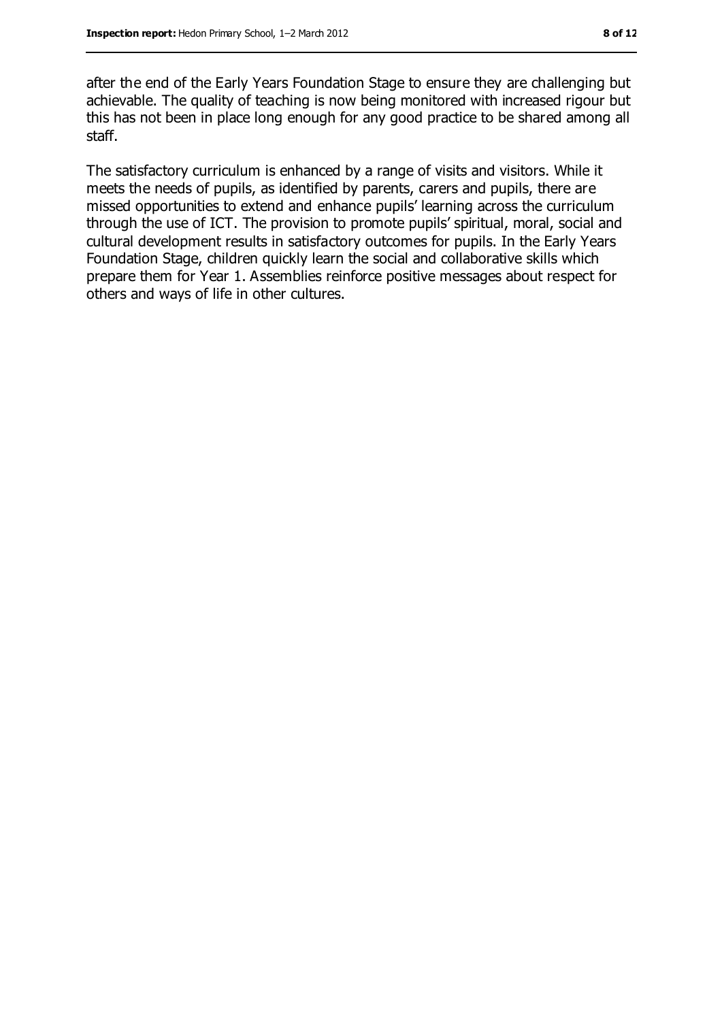after the end of the Early Years Foundation Stage to ensure they are challenging but achievable. The quality of teaching is now being monitored with increased rigour but this has not been in place long enough for any good practice to be shared among all staff.

The satisfactory curriculum is enhanced by a range of visits and visitors. While it meets the needs of pupils, as identified by parents, carers and pupils, there are missed opportunities to extend and enhance pupils' learning across the curriculum through the use of ICT. The provision to promote pupils' spiritual, moral, social and cultural development results in satisfactory outcomes for pupils. In the Early Years Foundation Stage, children quickly learn the social and collaborative skills which prepare them for Year 1. Assemblies reinforce positive messages about respect for others and ways of life in other cultures.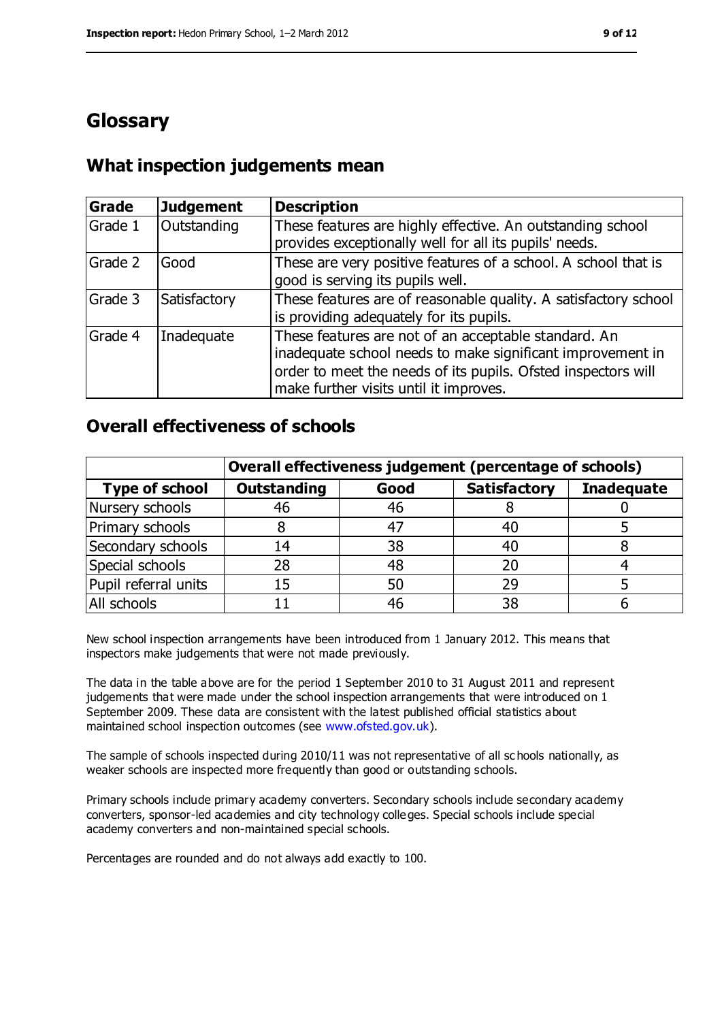## **Glossary**

#### **What inspection judgements mean**

| <b>Grade</b> | Judgement    | <b>Description</b>                                                                                                                                                                                                            |
|--------------|--------------|-------------------------------------------------------------------------------------------------------------------------------------------------------------------------------------------------------------------------------|
| Grade 1      | Outstanding  | These features are highly effective. An outstanding school<br>provides exceptionally well for all its pupils' needs.                                                                                                          |
| Grade 2      | Good         | These are very positive features of a school. A school that is<br>good is serving its pupils well.                                                                                                                            |
| Grade 3      | Satisfactory | These features are of reasonable quality. A satisfactory school<br>is providing adequately for its pupils.                                                                                                                    |
| Grade 4      | Inadequate   | These features are not of an acceptable standard. An<br>inadequate school needs to make significant improvement in<br>order to meet the needs of its pupils. Ofsted inspectors will<br>make further visits until it improves. |

#### **Overall effectiveness of schools**

|                       | Overall effectiveness judgement (percentage of schools) |      |                     |                   |
|-----------------------|---------------------------------------------------------|------|---------------------|-------------------|
| <b>Type of school</b> | <b>Outstanding</b>                                      | Good | <b>Satisfactory</b> | <b>Inadequate</b> |
| Nursery schools       | 46                                                      | 46   |                     |                   |
| Primary schools       |                                                         | -47  | 40                  |                   |
| Secondary schools     | 14                                                      | 38   | 40                  |                   |
| Special schools       | 28                                                      | 48   | 20                  |                   |
| Pupil referral units  | 15                                                      | 50   | 29                  |                   |
| All schools           |                                                         | 46   | 38                  |                   |

New school inspection arrangements have been introduced from 1 January 2012. This means that inspectors make judgements that were not made previously.

The data in the table above are for the period 1 September 2010 to 31 August 2011 and represent judgements that were made under the school inspection arrangements that were introduced on 1 September 2009. These data are consistent with the latest published official statistics about maintained school inspection outcomes (see [www.ofsted.gov.uk\)](https://webmail.cfbt.com/mail/fravey.nsf/0/D8451B4A89116CECDC254974E308F1D2/$File/www.ofsted.gov.uk).

The sample of schools inspected during 2010/11 was not representative of all sc hools nationally, as weaker schools are inspected more frequently than good or outstanding schools.

Primary schools include primary academy converters. Secondary schools include secondary academy converters, sponsor-led academies and city technology colleges. Special schools include special academy converters and non-maintained special schools.

Percentages are rounded and do not always add exactly to 100.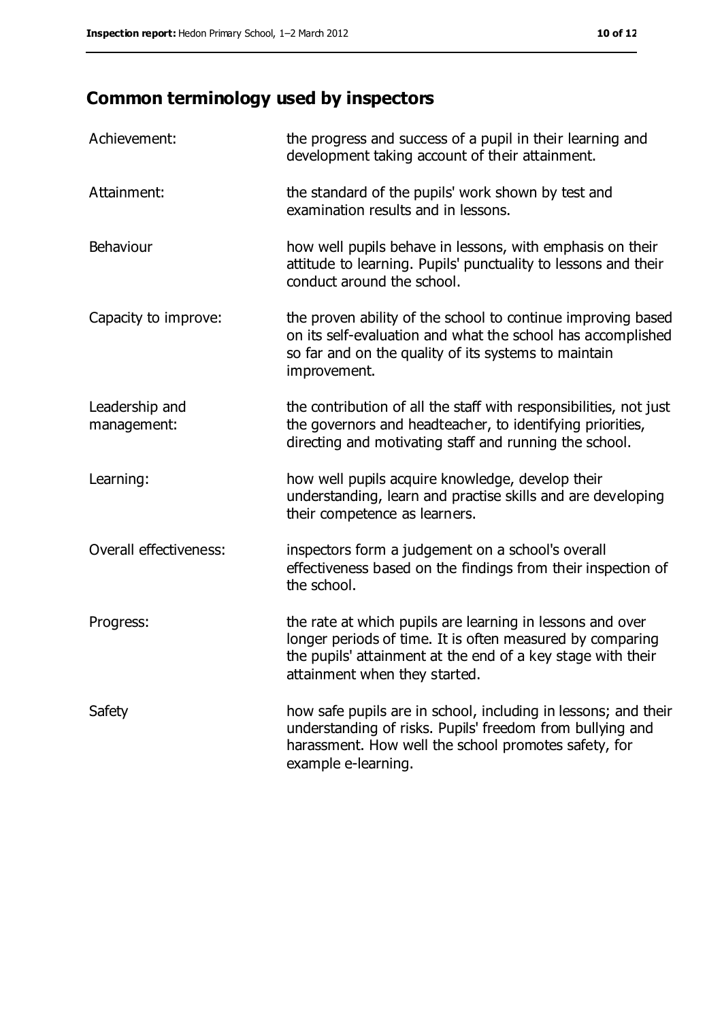## **Common terminology used by inspectors**

| Achievement:                  | the progress and success of a pupil in their learning and<br>development taking account of their attainment.                                                                                                           |
|-------------------------------|------------------------------------------------------------------------------------------------------------------------------------------------------------------------------------------------------------------------|
| Attainment:                   | the standard of the pupils' work shown by test and<br>examination results and in lessons.                                                                                                                              |
| Behaviour                     | how well pupils behave in lessons, with emphasis on their<br>attitude to learning. Pupils' punctuality to lessons and their<br>conduct around the school.                                                              |
| Capacity to improve:          | the proven ability of the school to continue improving based<br>on its self-evaluation and what the school has accomplished<br>so far and on the quality of its systems to maintain<br>improvement.                    |
| Leadership and<br>management: | the contribution of all the staff with responsibilities, not just<br>the governors and headteacher, to identifying priorities,<br>directing and motivating staff and running the school.                               |
| Learning:                     | how well pupils acquire knowledge, develop their<br>understanding, learn and practise skills and are developing<br>their competence as learners.                                                                       |
| Overall effectiveness:        | inspectors form a judgement on a school's overall<br>effectiveness based on the findings from their inspection of<br>the school.                                                                                       |
| Progress:                     | the rate at which pupils are learning in lessons and over<br>longer periods of time. It is often measured by comparing<br>the pupils' attainment at the end of a key stage with their<br>attainment when they started. |
| Safety                        | how safe pupils are in school, including in lessons; and their<br>understanding of risks. Pupils' freedom from bullying and<br>harassment. How well the school promotes safety, for<br>example e-learning.             |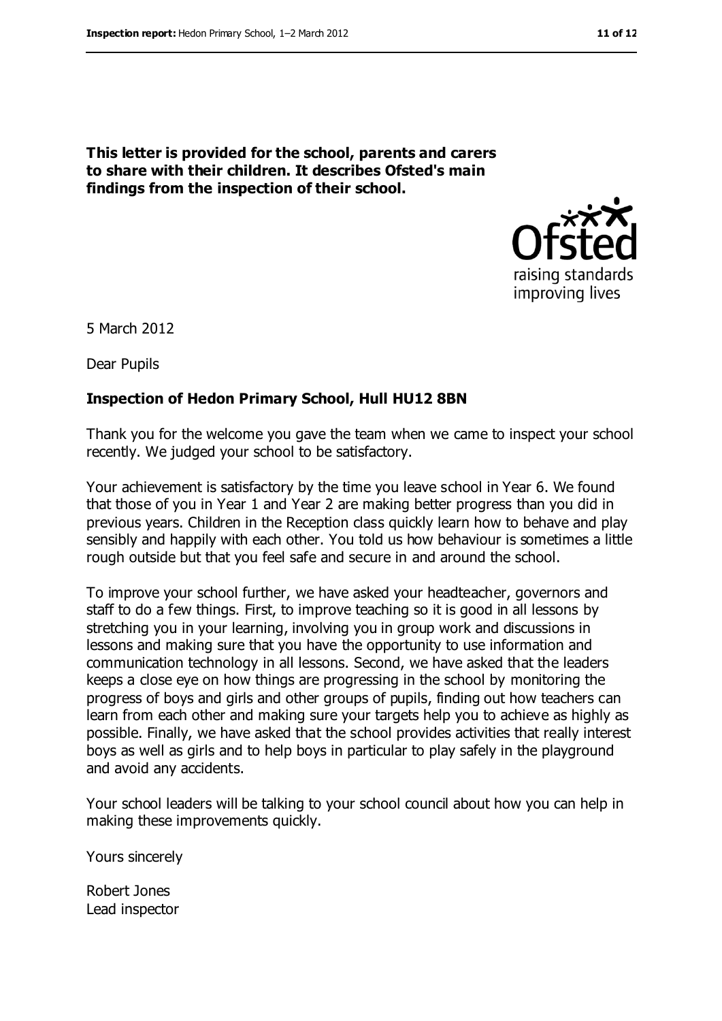# raising standards improving lives

5 March 2012

Dear Pupils

#### **Inspection of Hedon Primary School, Hull HU12 8BN**

**This letter is provided for the school, parents and carers to share with their children. It describes Ofsted's main** 

**findings from the inspection of their school.**

Thank you for the welcome you gave the team when we came to inspect your school recently. We judged your school to be satisfactory.

Your achievement is satisfactory by the time you leave school in Year 6. We found that those of you in Year 1 and Year 2 are making better progress than you did in previous years. Children in the Reception class quickly learn how to behave and play sensibly and happily with each other. You told us how behaviour is sometimes a little rough outside but that you feel safe and secure in and around the school.

To improve your school further, we have asked your headteacher, governors and staff to do a few things. First, to improve teaching so it is good in all lessons by stretching you in your learning, involving you in group work and discussions in lessons and making sure that you have the opportunity to use information and communication technology in all lessons. Second, we have asked that the leaders keeps a close eye on how things are progressing in the school by monitoring the progress of boys and girls and other groups of pupils, finding out how teachers can learn from each other and making sure your targets help you to achieve as highly as possible. Finally, we have asked that the school provides activities that really interest boys as well as girls and to help boys in particular to play safely in the playground and avoid any accidents.

Your school leaders will be talking to your school council about how you can help in making these improvements quickly.

Yours sincerely

Robert Jones Lead inspector